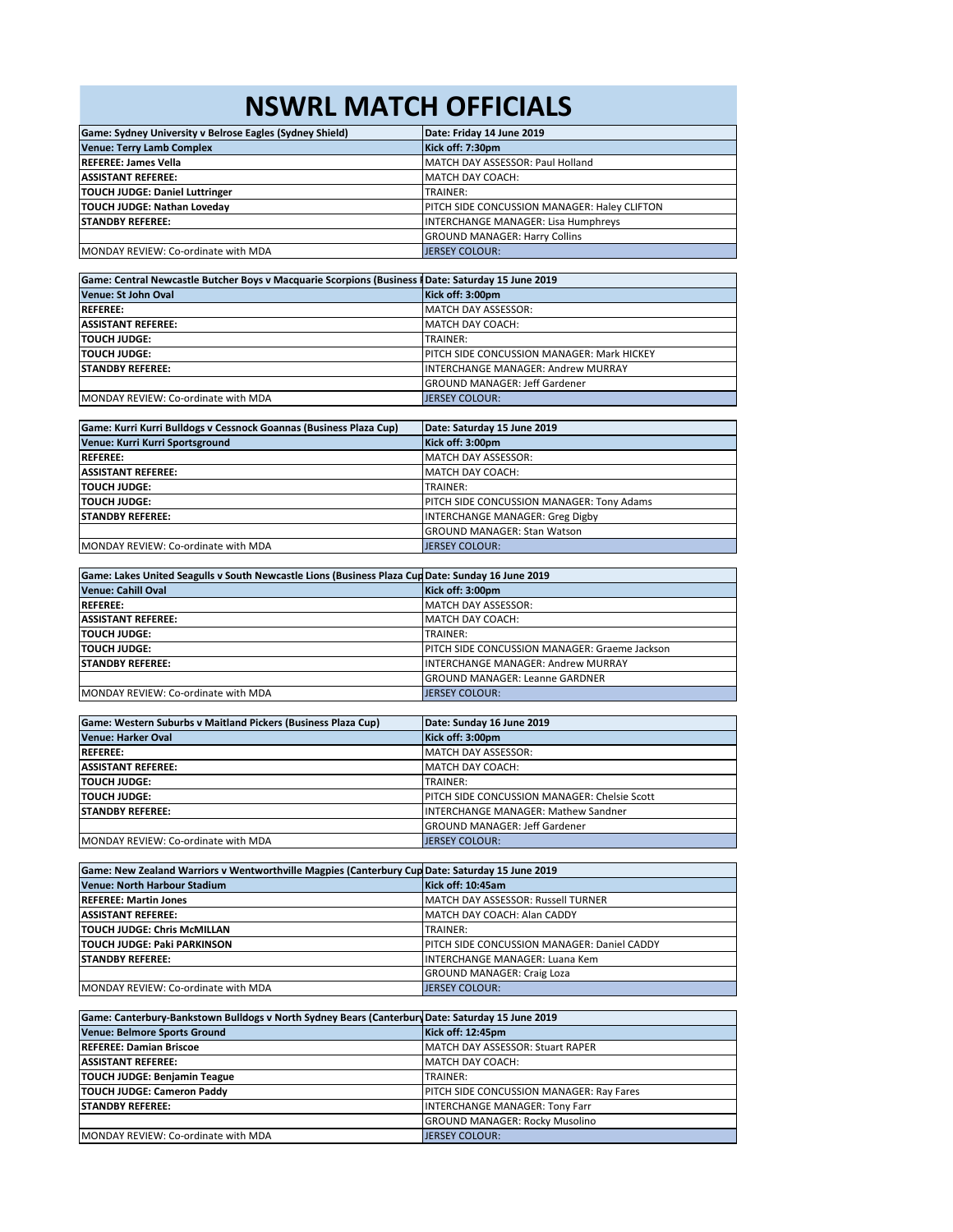## **NSWRL MATCH OFFICIALS**

| Game: Sydney University v Belrose Eagles (Sydney Shield) | Date: Friday 14 June 2019                    |
|----------------------------------------------------------|----------------------------------------------|
| <b>Venue: Terry Lamb Complex</b>                         | Kick off: 7:30pm                             |
| <b>REFEREE: James Vella</b>                              | MATCH DAY ASSESSOR: Paul Holland             |
| <b>ASSISTANT REFEREE:</b>                                | MATCH DAY COACH:                             |
| <b>TOUCH JUDGE: Daniel Luttringer</b>                    | TRAINER:                                     |
| TOUCH JUDGE: Nathan Loveday                              | PITCH SIDE CONCUSSION MANAGER: Haley CLIFTON |
| <b>STANDBY REFEREE:</b>                                  | <b>INTERCHANGE MANAGER: Lisa Humphreys</b>   |
|                                                          | <b>GROUND MANAGER: Harry Collins</b>         |
| MONDAY REVIEW: Co-ordinate with MDA                      | <b>JERSEY COLOUR:</b>                        |

| Game: Central Newcastle Butcher Boys v Macquarie Scorpions (Business II Date: Saturday 15 June 2019 |                                                   |
|-----------------------------------------------------------------------------------------------------|---------------------------------------------------|
| Venue: St John Oval                                                                                 | Kick off: 3:00pm                                  |
| <b>REFEREE:</b>                                                                                     | MATCH DAY ASSESSOR:                               |
| <b>ASSISTANT REFEREE:</b>                                                                           | MATCH DAY COACH:                                  |
| <b>TOUCH JUDGE:</b>                                                                                 | TRAINER:                                          |
| <b>TOUCH JUDGE:</b>                                                                                 | <b>PITCH SIDE CONCUSSION MANAGER: Mark HICKEY</b> |
| <b>ISTANDBY REFEREE:</b>                                                                            | INTERCHANGE MANAGER: Andrew MURRAY                |
|                                                                                                     | <b>GROUND MANAGER: Jeff Gardener</b>              |
| MONDAY REVIEW: Co-ordinate with MDA                                                                 | <b>JERSEY COLOUR:</b>                             |

| Game: Kurri Kurri Bulldogs v Cessnock Goannas (Business Plaza Cup) | Date: Saturday 15 June 2019               |
|--------------------------------------------------------------------|-------------------------------------------|
| Venue: Kurri Kurri Sportsground                                    | Kick off: 3:00pm                          |
| <b>REFEREE:</b>                                                    | MATCH DAY ASSESSOR:                       |
| <b>ASSISTANT REFEREE:</b>                                          | <b>IMATCH DAY COACH:</b>                  |
| <b>TOUCH JUDGE:</b>                                                | TRAINER:                                  |
| <b>TOUCH JUDGE:</b>                                                | PITCH SIDE CONCUSSION MANAGER: Tony Adams |
| <b>ISTANDBY REFEREE:</b>                                           | <b>INTERCHANGE MANAGER: Greg Digby</b>    |
|                                                                    | <b>GROUND MANAGER: Stan Watson</b>        |
| MONDAY REVIEW: Co-ordinate with MDA                                | <b>JERSEY COLOUR:</b>                     |

| Game: Lakes United Seagulls v South Newcastle Lions (Business Plaza Cup Date: Sunday 16 June 2019 |                                                       |
|---------------------------------------------------------------------------------------------------|-------------------------------------------------------|
| Venue: Cahill Oval                                                                                | Kick off: 3:00pm                                      |
| <b>REFEREE:</b>                                                                                   | MATCH DAY ASSESSOR:                                   |
| <b>ASSISTANT REFEREE:</b>                                                                         | MATCH DAY COACH:                                      |
| <b>TOUCH JUDGE:</b>                                                                               | TRAINER:                                              |
| <b>TOUCH JUDGE:</b>                                                                               | <b>IPITCH SIDE CONCUSSION MANAGER: Graeme Jackson</b> |
| <b>STANDBY REFEREE:</b>                                                                           | <b>INTERCHANGE MANAGER: Andrew MURRAY</b>             |
|                                                                                                   | <b>GROUND MANAGER: Leanne GARDNER</b>                 |
| MONDAY REVIEW: Co-ordinate with MDA                                                               | <b>JERSEY COLOUR:</b>                                 |

| Game: Western Suburbs v Maitland Pickers (Business Plaza Cup) | Date: Sunday 16 June 2019                    |
|---------------------------------------------------------------|----------------------------------------------|
| <b>Venue: Harker Oval</b>                                     | Kick off: 3:00pm                             |
| <b>REFEREE:</b>                                               | MATCH DAY ASSESSOR:                          |
| <b>ASSISTANT REFEREE:</b>                                     | MATCH DAY COACH:                             |
| <b>TOUCH JUDGE:</b>                                           | TRAINER:                                     |
| <b>TOUCH JUDGE:</b>                                           | PITCH SIDE CONCUSSION MANAGER: Chelsie Scott |
| <b>ISTANDBY REFEREE:</b>                                      | <b>INTERCHANGE MANAGER: Mathew Sandner</b>   |
|                                                               | <b>GROUND MANAGER: Jeff Gardener</b>         |
| MONDAY REVIEW: Co-ordinate with MDA                           | <b>JERSEY COLOUR:</b>                        |

| Game: New Zealand Warriors v Wentworthville Magpies (Canterbury Cup Date: Saturday 15 June 2019 |                                                     |
|-------------------------------------------------------------------------------------------------|-----------------------------------------------------|
| Venue: North Harbour Stadium                                                                    | Kick off: 10:45am                                   |
| <b>REFEREE: Martin Jones</b>                                                                    | MATCH DAY ASSESSOR: Russell TURNER                  |
| <b>ASSISTANT REFEREE:</b>                                                                       | MATCH DAY COACH: Alan CADDY                         |
| <b>TOUCH JUDGE: Chris McMILLAN</b>                                                              | TRAINER:                                            |
| <b>TOUCH JUDGE: Paki PARKINSON</b>                                                              | <b>IPITCH SIDE CONCUSSION MANAGER: Daniel CADDY</b> |
| <b>STANDBY REFEREE:</b>                                                                         | <b>INTERCHANGE MANAGER: Luana Kem</b>               |
|                                                                                                 | <b>GROUND MANAGER: Craig Loza</b>                   |
| MONDAY REVIEW: Co-ordinate with MDA                                                             | <b>JERSEY COLOUR:</b>                               |

| Game: Canterbury-Bankstown Bulldogs v North Sydney Bears (Canterbury Date: Saturday 15 June 2019 |                                          |
|--------------------------------------------------------------------------------------------------|------------------------------------------|
| <b>Venue: Belmore Sports Ground</b>                                                              | Kick off: 12:45pm                        |
| <b>REFEREE: Damian Briscoe</b>                                                                   | MATCH DAY ASSESSOR: Stuart RAPER         |
| <b>ASSISTANT REFEREE:</b>                                                                        | MATCH DAY COACH:                         |
| <b>TOUCH JUDGE: Benjamin Teague</b>                                                              | TRAINER:                                 |
| <b>TOUCH JUDGE: Cameron Paddy</b>                                                                | PITCH SIDE CONCUSSION MANAGER: Ray Fares |
| <b>ISTANDBY REFEREE:</b>                                                                         | <b>INTERCHANGE MANAGER: Tony Farr</b>    |
|                                                                                                  | <b>GROUND MANAGER: Rocky Musolino</b>    |
| MONDAY REVIEW: Co-ordinate with MDA                                                              | <b>JERSEY COLOUR:</b>                    |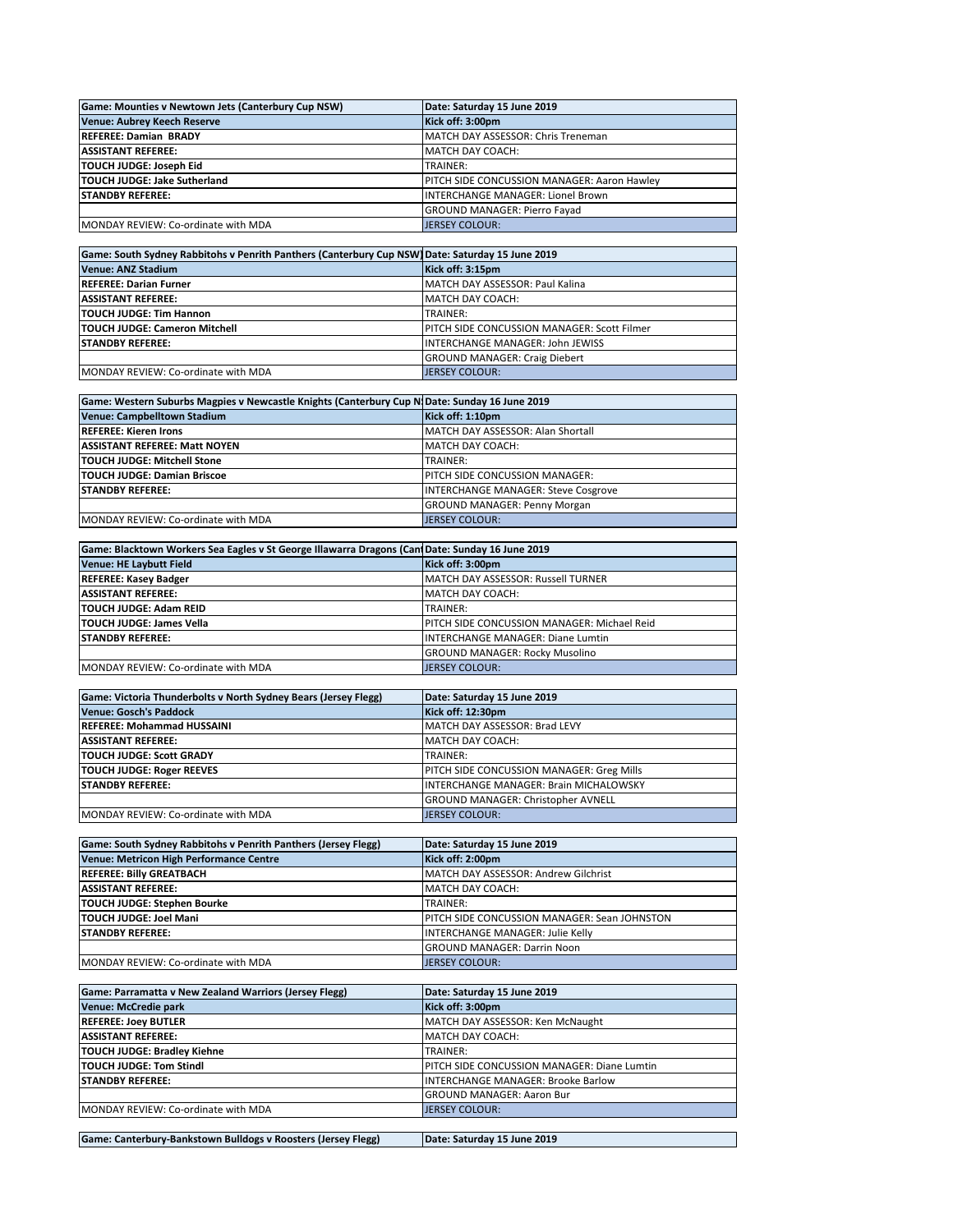| Game: Mounties v Newtown Jets (Canterbury Cup NSW) | Date: Saturday 15 June 2019                        |
|----------------------------------------------------|----------------------------------------------------|
| <b>Venue: Aubrey Keech Reserve</b>                 | Kick off: 3:00pm                                   |
| <b>REFEREE: Damian BRADY</b>                       | MATCH DAY ASSESSOR: Chris Treneman                 |
| <b>ASSISTANT REFEREE:</b>                          | MATCH DAY COACH:                                   |
| TOUCH JUDGE: Joseph Eid                            | TRAINER:                                           |
| TOUCH JUDGE: Jake Sutherland                       | <b>PITCH SIDE CONCUSSION MANAGER: Aaron Hawley</b> |
| <b>STANDBY REFEREE:</b>                            | INTERCHANGE MANAGER: Lionel Brown                  |
|                                                    | <b>GROUND MANAGER: Pierro Favad</b>                |
| <b>IMONDAY REVIEW: Co-ordinate with MDA</b>        | JERSEY COLOUR:                                     |

| Game: South Sydney Rabbitohs v Penrith Panthers (Canterbury Cup NSW) Date: Saturday 15 June 2019 |                                                    |
|--------------------------------------------------------------------------------------------------|----------------------------------------------------|
| Venue: ANZ Stadium                                                                               | Kick off: 3:15pm                                   |
| <b>REFEREE: Darian Furner</b>                                                                    | MATCH DAY ASSESSOR: Paul Kalina                    |
| <b>ASSISTANT REFEREE:</b>                                                                        | <b>IMATCH DAY COACH:</b>                           |
| <b>TOUCH JUDGE: Tim Hannon</b>                                                                   | TRAINER:                                           |
| <b>TOUCH JUDGE: Cameron Mitchell</b>                                                             | <b>PITCH SIDE CONCUSSION MANAGER: Scott Filmer</b> |
| <b>STANDBY REFEREE:</b>                                                                          | <b>INTERCHANGE MANAGER: John JEWISS</b>            |
|                                                                                                  | <b>GROUND MANAGER: Craig Diebert</b>               |
| MONDAY REVIEW: Co-ordinate with MDA                                                              | <b>JERSEY COLOUR:</b>                              |

| Game: Western Suburbs Magpies v Newcastle Knights (Canterbury Cup NJDate: Sunday 16 June 2019 |                                            |
|-----------------------------------------------------------------------------------------------|--------------------------------------------|
| Venue: Campbelltown Stadium                                                                   | Kick off: 1:10pm                           |
| <b>REFEREE: Kieren Irons</b>                                                                  | MATCH DAY ASSESSOR: Alan Shortall          |
| <b>ASSISTANT REFEREE: Matt NOYEN</b>                                                          | MATCH DAY COACH:                           |
| <b>TOUCH JUDGE: Mitchell Stone</b>                                                            | TRAINER:                                   |
| <b>TOUCH JUDGE: Damian Briscoe</b>                                                            | <b>PITCH SIDE CONCUSSION MANAGER:</b>      |
| <b>STANDBY REFEREE:</b>                                                                       | <b>INTERCHANGE MANAGER: Steve Cosgrove</b> |
|                                                                                               | <b>GROUND MANAGER: Penny Morgan</b>        |
| MONDAY REVIEW: Co-ordinate with MDA                                                           | <b>JERSEY COLOUR:</b>                      |

| Game: Blacktown Workers Sea Eagles v St George Illawarra Dragons (CantDate: Sunday 16 June 2019 |                                                    |
|-------------------------------------------------------------------------------------------------|----------------------------------------------------|
| <b>Venue: HE Laybutt Field</b>                                                                  | Kick off: 3:00pm                                   |
| <b>REFEREE: Kasey Badger</b>                                                                    | MATCH DAY ASSESSOR: Russell TURNER                 |
| <b>ASSISTANT REFEREE:</b>                                                                       | <b>IMATCH DAY COACH:</b>                           |
| <b>TOUCH JUDGE: Adam REID</b>                                                                   | TRAINER:                                           |
| <b>TOUCH JUDGE: James Vella</b>                                                                 | <b>PITCH SIDE CONCUSSION MANAGER: Michael Reid</b> |
| <b>STANDBY REFEREE:</b>                                                                         | INTERCHANGE MANAGER: Diane Lumtin                  |
|                                                                                                 | <b>GROUND MANAGER: Rocky Musolino</b>              |
| MONDAY REVIEW: Co-ordinate with MDA                                                             | <b>JERSEY COLOUR:</b>                              |

| Game: Victoria Thunderbolts v North Sydney Bears (Jersey Flegg) | Date: Saturday 15 June 2019                      |
|-----------------------------------------------------------------|--------------------------------------------------|
| <b>Venue: Gosch's Paddock</b>                                   | Kick off: 12:30pm                                |
| <b>REFEREE: Mohammad HUSSAINI</b>                               | MATCH DAY ASSESSOR: Brad LEVY                    |
| <b>ASSISTANT REFEREE:</b>                                       | MATCH DAY COACH:                                 |
| <b>TOUCH JUDGE: Scott GRADY</b>                                 | TRAINER:                                         |
| <b>TOUCH JUDGE: Roger REEVES</b>                                | <b>PITCH SIDE CONCUSSION MANAGER: Greg Mills</b> |
| <b>STANDBY REFEREE:</b>                                         | IINTERCHANGE MANAGER: Brain MICHALOWSKY          |
|                                                                 | <b>GROUND MANAGER: Christopher AVNELL</b>        |
| MONDAY REVIEW: Co-ordinate with MDA                             | JERSEY COLOUR:                                   |

| Game: South Sydney Rabbitohs v Penrith Panthers (Jersey Flegg) | Date: Saturday 15 June 2019                          |
|----------------------------------------------------------------|------------------------------------------------------|
| Venue: Metricon High Performance Centre                        | Kick off: 2:00pm                                     |
| <b>REFEREE: Billy GREATBACH</b>                                | MATCH DAY ASSESSOR: Andrew Gilchrist                 |
| <b>ASSISTANT REFEREE:</b>                                      | <b>IMATCH DAY COACH:</b>                             |
| <b>TOUCH JUDGE: Stephen Bourke</b>                             | TRAINER:                                             |
| TOUCH JUDGE: Joel Mani                                         | <b>IPITCH SIDE CONCUSSION MANAGER: Sean JOHNSTON</b> |
| <b>ISTANDBY REFEREE:</b>                                       | INTERCHANGE MANAGER: Julie Kelly                     |
|                                                                | <b>GROUND MANAGER: Darrin Noon</b>                   |
| MONDAY REVIEW: Co-ordinate with MDA                            | <b>JERSEY COLOUR:</b>                                |

| Game: Parramatta v New Zealand Warriors (Jersey Flegg) | Date: Saturday 15 June 2019                 |
|--------------------------------------------------------|---------------------------------------------|
| Venue: McCredie park                                   | Kick off: 3:00pm                            |
| <b>REFEREE: Joey BUTLER</b>                            | MATCH DAY ASSESSOR: Ken McNaught            |
| <b>ASSISTANT REFEREE:</b>                              | MATCH DAY COACH:                            |
| <b>TOUCH JUDGE: Bradley Kiehne</b>                     | TRAINER:                                    |
| <b>TOUCH JUDGE: Tom Stindl</b>                         | PITCH SIDE CONCUSSION MANAGER: Diane Lumtin |
| <b>ISTANDBY REFEREE:</b>                               | INTERCHANGE MANAGER: Brooke Barlow          |
|                                                        | <b>GROUND MANAGER: Aaron Bur</b>            |
| MONDAY REVIEW: Co-ordinate with MDA                    | <b>JERSEY COLOUR:</b>                       |
|                                                        |                                             |

Game: Canterbury-Bankstown Bulldogs v Roosters (Jersey Flegg) **Date: Saturday 15 June 2019**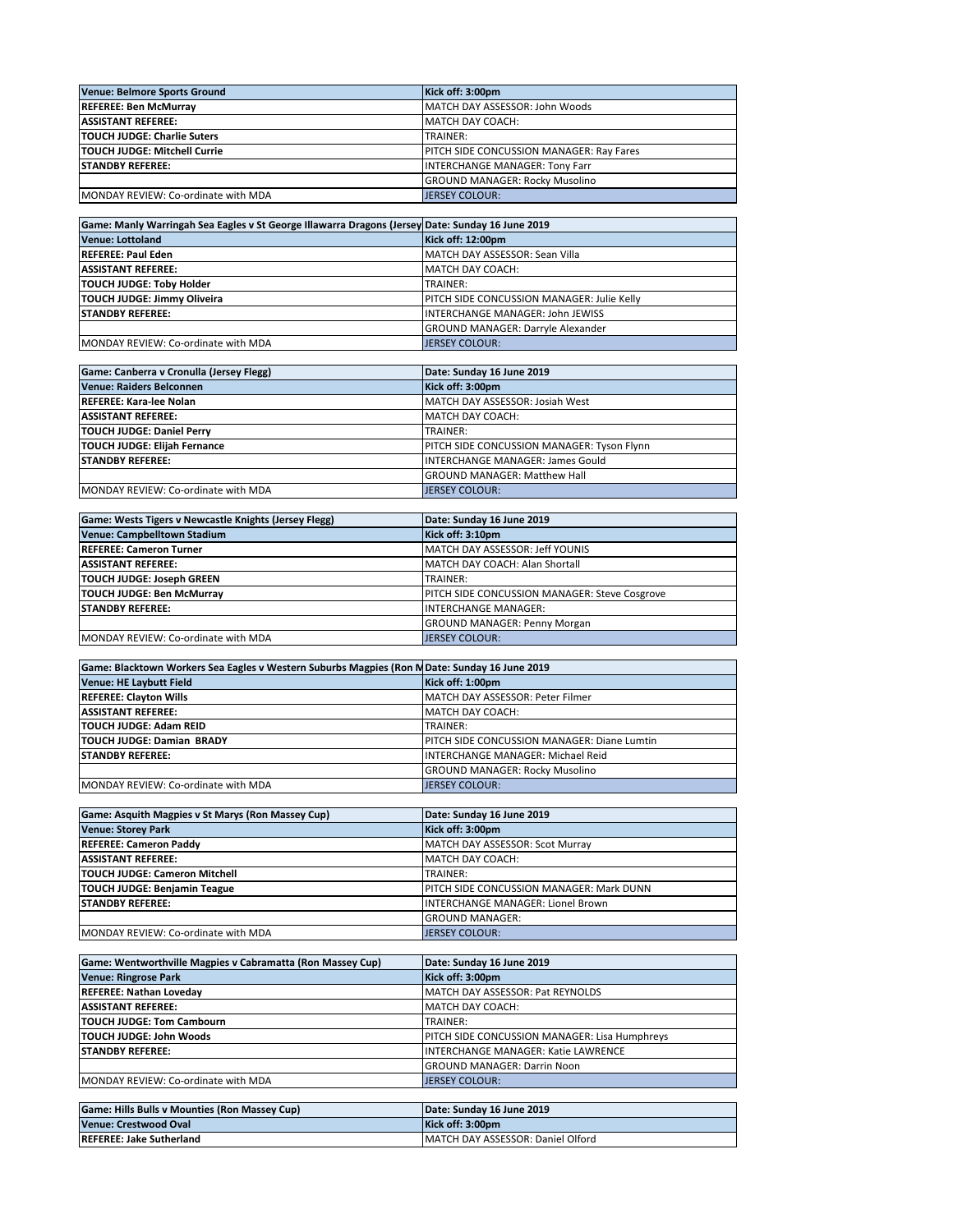| Venue: Belmore Sports Ground        | Kick off: 3:00pm                                 |
|-------------------------------------|--------------------------------------------------|
| <b>REFEREE: Ben McMurrav</b>        | MATCH DAY ASSESSOR: John Woods                   |
| <b>ASSISTANT REFEREE:</b>           | MATCH DAY COACH:                                 |
| <b>TOUCH JUDGE: Charlie Suters</b>  | TRAINER:                                         |
| <b>TOUCH JUDGE: Mitchell Currie</b> | <b>IPITCH SIDE CONCUSSION MANAGER: Rav Fares</b> |
| <b>STANDBY REFEREE:</b>             | <b>INTERCHANGE MANAGER: Tony Farr</b>            |
|                                     | <b>GROUND MANAGER: Rocky Musolino</b>            |
| MONDAY REVIEW: Co-ordinate with MDA | <b>JERSEY COLOUR:</b>                            |

| Game: Manly Warringah Sea Eagles v St George Illawarra Dragons (Jersey Date: Sunday 16 June 2019 |                                                   |
|--------------------------------------------------------------------------------------------------|---------------------------------------------------|
| <b>Venue: Lottoland</b>                                                                          | Kick off: 12:00pm                                 |
| <b>REFEREE: Paul Eden</b>                                                                        | MATCH DAY ASSESSOR: Sean Villa                    |
| <b>ASSISTANT REFEREE:</b>                                                                        | <b>IMATCH DAY COACH:</b>                          |
| <b>TOUCH JUDGE: Toby Holder</b>                                                                  | TRAINER:                                          |
| TOUCH JUDGE: Jimmy Oliveira                                                                      | <b>PITCH SIDE CONCUSSION MANAGER: Julie Kelly</b> |
| <b>ISTANDBY REFEREE:</b>                                                                         | <b>INTERCHANGE MANAGER: John JEWISS</b>           |
|                                                                                                  | <b>GROUND MANAGER: Darryle Alexander</b>          |
| MONDAY REVIEW: Co-ordinate with MDA                                                              | <b>JERSEY COLOUR:</b>                             |

| Game: Canberra v Cronulla (Jersey Flegg) | Date: Sunday 16 June 2019                  |
|------------------------------------------|--------------------------------------------|
| <b>Venue: Raiders Belconnen</b>          | Kick off: 3:00pm                           |
| <b>REFEREE: Kara-lee Nolan</b>           | MATCH DAY ASSESSOR: Josiah West            |
| <b>ASSISTANT REFEREE:</b>                | <b>MATCH DAY COACH:</b>                    |
| <b>TOUCH JUDGE: Daniel Perry</b>         | TRAINER:                                   |
| <b>TOUCH JUDGE: Elijah Fernance</b>      | PITCH SIDE CONCUSSION MANAGER: Tyson Flynn |
| <b>STANDBY REFEREE:</b>                  | <b>INTERCHANGE MANAGER: James Gould</b>    |
|                                          | <b>GROUND MANAGER: Matthew Hall</b>        |
| MONDAY REVIEW: Co-ordinate with MDA      | <b>JERSEY COLOUR:</b>                      |

| Game: Wests Tigers v Newcastle Knights (Jersey Flegg) | Date: Sunday 16 June 2019                     |
|-------------------------------------------------------|-----------------------------------------------|
| Venue: Campbelltown Stadium                           | Kick off: 3:10pm                              |
| <b>REFEREE: Cameron Turner</b>                        | MATCH DAY ASSESSOR: Jeff YOUNIS               |
| <b>ASSISTANT REFEREE:</b>                             | MATCH DAY COACH: Alan Shortall                |
| <b>TOUCH JUDGE: Joseph GREEN</b>                      | TRAINER:                                      |
| <b>TOUCH JUDGE: Ben McMurrav</b>                      | PITCH SIDE CONCUSSION MANAGER: Steve Cosgrove |
| <b>STANDBY REFEREE:</b>                               | <b>INTERCHANGE MANAGER:</b>                   |
|                                                       | <b>GROUND MANAGER: Penny Morgan</b>           |
| MONDAY REVIEW: Co-ordinate with MDA                   | <b>JERSEY COLOUR:</b>                         |

| Game: Blacktown Workers Sea Eagles v Western Suburbs Magpies (Ron MDate: Sunday 16 June 2019 |                                                     |  |
|----------------------------------------------------------------------------------------------|-----------------------------------------------------|--|
| <b>Venue: HE Laybutt Field</b>                                                               | Kick off: 1:00pm                                    |  |
| <b>REFEREE: Clayton Wills</b>                                                                | MATCH DAY ASSESSOR: Peter Filmer                    |  |
| <b>ASSISTANT REFEREE:</b>                                                                    | <b>IMATCH DAY COACH:</b>                            |  |
| <b>TOUCH JUDGE: Adam REID</b>                                                                | TRAINER:                                            |  |
| <b>TOUCH JUDGE: Damian BRADY</b>                                                             | <b>IPITCH SIDE CONCUSSION MANAGER: Diane Lumtin</b> |  |
| <b>ISTANDBY REFEREE:</b>                                                                     | INTERCHANGE MANAGER: Michael Reid                   |  |
|                                                                                              | <b>GROUND MANAGER: Rocky Musolino</b>               |  |
| MONDAY REVIEW: Co-ordinate with MDA                                                          | <b>JERSEY COLOUR:</b>                               |  |

| Game: Asquith Magpies v St Marys (Ron Massey Cup) | Date: Sunday 16 June 2019                       |
|---------------------------------------------------|-------------------------------------------------|
| <b>Venue: Storey Park</b>                         | Kick off: 3:00pm                                |
| <b>REFEREE: Cameron Paddy</b>                     | MATCH DAY ASSESSOR: Scot Murray                 |
| <b>ASSISTANT REFEREE:</b>                         | MATCH DAY COACH:                                |
| <b>TOUCH JUDGE: Cameron Mitchell</b>              | TRAINER:                                        |
| <b>TOUCH JUDGE: Benjamin Teague</b>               | <b>PITCH SIDE CONCUSSION MANAGER: Mark DUNN</b> |
| <b>ISTANDBY REFEREE:</b>                          | INTERCHANGE MANAGER: Lionel Brown               |
|                                                   | <b>GROUND MANAGER:</b>                          |
| MONDAY REVIEW: Co-ordinate with MDA               | <b>JERSEY COLOUR:</b>                           |

| Game: Wentworthville Magpies v Cabramatta (Ron Massey Cup) | Date: Sunday 16 June 2019                            |
|------------------------------------------------------------|------------------------------------------------------|
| <b>Venue: Ringrose Park</b>                                | Kick off: 3:00pm                                     |
| <b>REFEREE: Nathan Loveday</b>                             | MATCH DAY ASSESSOR: Pat REYNOLDS                     |
| <b>ASSISTANT REFEREE:</b>                                  | MATCH DAY COACH:                                     |
| <b>TOUCH JUDGE: Tom Cambourn</b>                           | TRAINER:                                             |
| TOUCH JUDGE: John Woods                                    | <b>PITCH SIDE CONCUSSION MANAGER: Lisa Humphreys</b> |
| <b>ISTANDBY REFEREE:</b>                                   | INTERCHANGE MANAGER: Katie LAWRENCE                  |
|                                                            | <b>GROUND MANAGER: Darrin Noon</b>                   |
| MONDAY REVIEW: Co-ordinate with MDA                        | <b>JERSEY COLOUR:</b>                                |

| Game: Hills Bulls v Mounties (Ron Massey Cup) | Date: Sunday 16 June 2019         |
|-----------------------------------------------|-----------------------------------|
| Venue: Crestwood Oval                         | Kick off: 3:00pm                  |
| <b>IREFEREE: Jake Sutherland</b>              | MATCH DAY ASSESSOR: Daniel Olford |